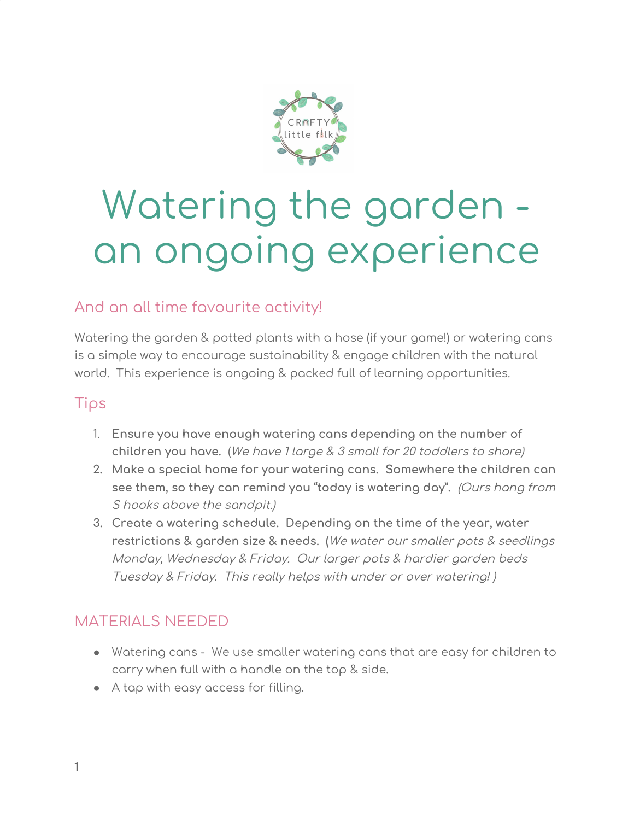

# Watering the garden an ongoing experience

## And an all time favourite activity!

Watering the garden & potted plants with a hose (if your game!) or watering cans is a simple way to encourage sustainability & engage children with the natural world. This experience is ongoing & packed full of learning opportunities.

#### Tips

- 1. **Ensure you have enough watering cans depending on the number of children you have.** (We have 1 large & 3 small for 20 toddlers to share)
- **2. Make a special home for your watering cans. Somewhere the children can see them, so they can remind you "today is watering day".** (Ours hang from S hooks above the sandpit.)
- **3. Create a watering schedule. Depending on the time of the year, water restrictions & garden size & needs. (**We water our smaller pots & seedlings Monday, Wednesday & Friday. Our larger pots & hardier garden beds Tuesday & Friday. This really helps with under or over watering! )

### MATERIALS NEEDED

- Watering cans We use smaller watering cans that are easy for children to carry when full with a handle on the top & side.
- A tap with easy access for filling.